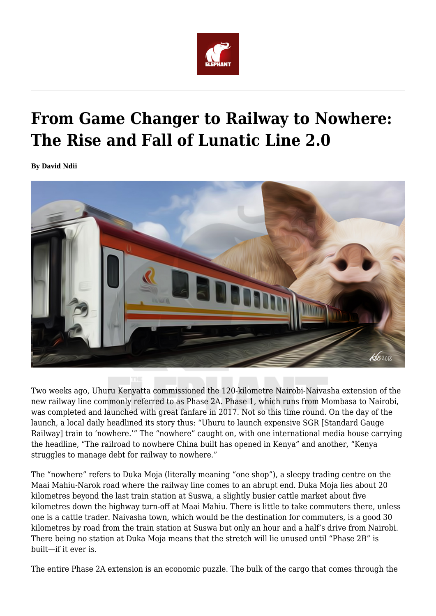

## **From Game Changer to Railway to Nowhere: The Rise and Fall of Lunatic Line 2.0**

**By David Ndii**



Two weeks ago, Uhuru Kenyatta commissioned the 120-kilometre Nairobi-Naivasha extension of the new railway line commonly referred to as Phase 2A. Phase 1, which runs from Mombasa to Nairobi, was completed and launched with great fanfare in 2017. Not so this time round. On the day of the launch, a local daily headlined its story thus: "Uhuru to launch expensive SGR [Standard Gauge Railway] train to 'nowhere.'" The "nowhere" caught on, with one international media house carrying the headline, "The railroad to nowhere China built has opened in Kenya" and another, "Kenya struggles to manage debt for railway to nowhere."

The "nowhere" refers to Duka Moja (literally meaning "one shop"), a sleepy trading centre on the Maai Mahiu-Narok road where the railway line comes to an abrupt end. Duka Moja lies about 20 kilometres beyond the last train station at Suswa, a slightly busier cattle market about five kilometres down the highway turn-off at Maai Mahiu. There is little to take commuters there, unless one is a cattle trader. Naivasha town, which would be the destination for commuters, is a good 30 kilometres by road from the train station at Suswa but only an hour and a half's drive from Nairobi. There being no station at Duka Moja means that the stretch will lie unused until "Phase 2B" is built—if it ever is.

The entire Phase 2A extension is an economic puzzle. The bulk of the cargo that comes through the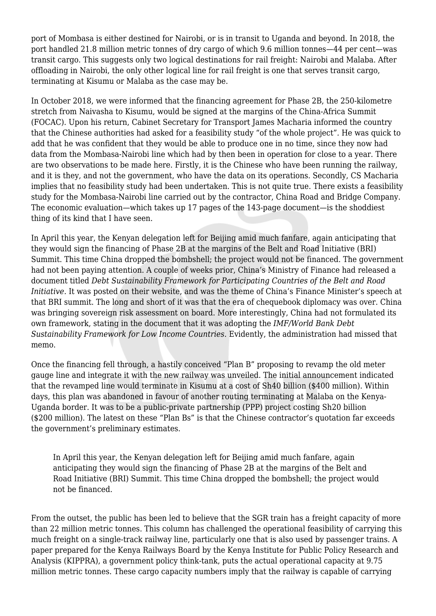port of Mombasa is either destined for Nairobi, or is in transit to Uganda and beyond. In 2018, the port handled 21.8 million metric tonnes of dry cargo of which 9.6 million tonnes—44 per cent—was transit cargo. This suggests only two logical destinations for rail freight: Nairobi and Malaba. After offloading in Nairobi, the only other logical line for rail freight is one that serves transit cargo, terminating at Kisumu or Malaba as the case may be.

In October 2018, we were informed that the financing agreement for Phase 2B, the 250-kilometre stretch from Naivasha to Kisumu, would be signed at the margins of the China-Africa Summit (FOCAC). Upon his return, Cabinet Secretary for Transport James Macharia informed the country that the Chinese authorities had asked for a feasibility study "of the whole project"*.* He was quick to add that he was confident that they would be able to produce one in no time, since they now had data from the Mombasa-Nairobi line which had by then been in operation for close to a year. There are two observations to be made here. Firstly, it is the Chinese who have been running the railway, and it is they, and not the government, who have the data on its operations. Secondly, CS Macharia implies that no feasibility study had been undertaken. This is not quite true. There exists a feasibility study for the Mombasa-Nairobi line carried out by the contractor, China Road and Bridge Company. The economic evaluation—which takes up 17 pages of the 143-page document—is the shoddiest thing of its kind that I have seen.

In April this year, the Kenyan delegation left for Beijing amid much fanfare, again anticipating that they would sign the financing of Phase 2B at the margins of the Belt and Road Initiative (BRI) Summit. This time China dropped the bombshell; the project would not be financed. The government had not been paying attention. A couple of weeks prior, China's Ministry of Finance had released a document titled *Debt Sustainability Framework for Participating Countries of the Belt and Road Initiative.* It was posted on their website, and was the theme of China's Finance Minister's speech at that BRI summit. The long and short of it was that the era of chequebook diplomacy was over. China was bringing sovereign risk assessment on board. More interestingly, China had not formulated its own framework, stating in the document that it was adopting the *IMF/World Bank Debt Sustainability Framework for Low Income Countries.* Evidently, the administration had missed that memo.

Once the financing fell through, a hastily conceived "Plan B" proposing to revamp the old meter gauge line and integrate it with the new railway was unveiled. The initial announcement indicated that the revamped line would terminate in Kisumu at a cost of Sh40 billion (\$400 million). Within days, this plan was abandoned in favour of another routing terminating at Malaba on the Kenya-Uganda border. It was to be a public-private partnership (PPP) project costing Sh20 billion (\$200 million). The latest on these "Plan Bs" is that the Chinese contractor's quotation far exceeds the government's preliminary estimates.

In April this year, the Kenyan delegation left for Beijing amid much fanfare, again anticipating they would sign the financing of Phase 2B at the margins of the Belt and Road Initiative (BRI) Summit. This time China dropped the bombshell; the project would not be financed.

From the outset, the public has been led to believe that the SGR train has a freight capacity of more than 22 million metric tonnes. This column has challenged the operational feasibility of carrying this much freight on a single-track railway line, particularly one that is also used by passenger trains. A paper prepared for the Kenya Railways Board by the Kenya Institute for Public Policy Research and Analysis (KIPPRA), a government policy think-tank, puts the actual operational capacity at 9.75 million metric tonnes. These cargo capacity numbers imply that the railway is capable of carrying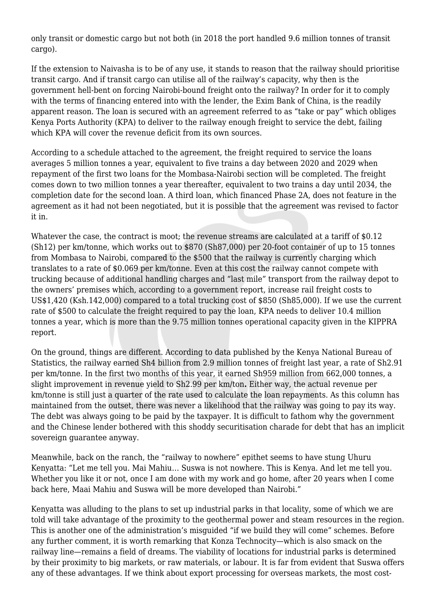only transit or domestic cargo but not both (in 2018 the port handled 9.6 million tonnes of transit cargo).

If the extension to Naivasha is to be of any use, it stands to reason that the railway should prioritise transit cargo. And if transit cargo can utilise all of the railway's capacity, why then is the government hell-bent on forcing Nairobi-bound freight onto the railway? In order for it to comply with the terms of financing entered into with the lender, the Exim Bank of China, is the readily apparent reason. The loan is secured with an agreement referred to as "take or pay" which obliges Kenya Ports Authority (KPA) to deliver to the railway enough freight to service the debt, failing which KPA will cover the revenue deficit from its own sources.

According to a schedule attached to the agreement, the freight required to service the loans averages 5 million tonnes a year, equivalent to five trains a day between 2020 and 2029 when repayment of the first two loans for the Mombasa-Nairobi section will be completed. The freight comes down to two million tonnes a year thereafter, equivalent to two trains a day until 2034, the completion date for the second loan. A third loan, which financed Phase 2A, does not feature in the agreement as it had not been negotiated, but it is possible that the agreement was revised to factor it in.

Whatever the case, the contract is moot; the revenue streams are calculated at a tariff of \$0.12 (Sh12) per km/tonne, which works out to \$870 (Sh87,000) per 20-foot container of up to 15 tonnes from Mombasa to Nairobi, compared to the \$500 that the railway is currently charging which translates to a rate of \$0.069 per km/tonne. Even at this cost the railway cannot compete with trucking because of additional handling charges and "last mile" transport from the railway depot to the owners' premises which, according to a government report, increase rail freight costs to US\$1,420 (Ksh.142,000) compared to a total trucking cost of \$850 (Sh85,000). If we use the current rate of \$500 to calculate the freight required to pay the loan, KPA needs to deliver 10.4 million tonnes a year, which is more than the 9.75 million tonnes operational capacity given in the KIPPRA report.

On the ground, things are different. According to data published by the Kenya National Bureau of Statistics, the railway earned Sh4 billion from 2.9 million tonnes of freight last year, a rate of Sh2.91 per km/tonne. In the first two months of this year, it earned Sh959 million from 662,000 tonnes, a slight improvement in revenue yield to Sh2.99 per km/ton**.** Either way, the actual revenue per km/tonne is still just a quarter of the rate used to calculate the loan repayments. As this column has maintained from the outset, there was never a likelihood that the railway was going to pay its way. The debt was always going to be paid by the taxpayer. It is difficult to fathom why the government and the Chinese lender bothered with this shoddy securitisation charade for debt that has an implicit sovereign guarantee anyway.

Meanwhile, back on the ranch, the "railway to nowhere" epithet seems to have stung Uhuru Kenyatta: "Let me tell you. Mai Mahiu… Suswa is not nowhere. This is Kenya. And let me tell you. Whether you like it or not, once I am done with my work and go home, after 20 years when I come back here, Maai Mahiu and Suswa will be more developed than Nairobi."

Kenyatta was alluding to the plans to set up industrial parks in that locality, some of which we are told will take advantage of the proximity to the geothermal power and steam resources in the region. This is another one of the administration's misguided "if we build they will come" schemes. Before any further comment, it is worth remarking that Konza Technocity—which is also smack on the railway line—remains a field of dreams. The viability of locations for industrial parks is determined by their proximity to big markets, or raw materials, or labour. It is far from evident that Suswa offers any of these advantages. If we think about export processing for overseas markets, the most cost-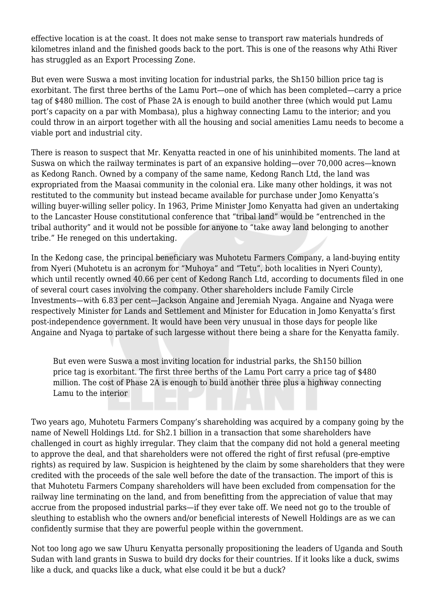effective location is at the coast. It does not make sense to transport raw materials hundreds of kilometres inland and the finished goods back to the port. This is one of the reasons why Athi River has struggled as an Export Processing Zone.

But even were Suswa a most inviting location for industrial parks, the Sh150 billion price tag is exorbitant. The first three berths of the Lamu Port—one of which has been completed—carry a price tag of \$480 million. The cost of Phase 2A is enough to build another three (which would put Lamu port's capacity on a par with Mombasa), plus a highway connecting Lamu to the interior; and you could throw in an airport together with all the housing and social amenities Lamu needs to become a viable port and industrial city.

There is reason to suspect that Mr. Kenyatta reacted in one of his uninhibited moments. The land at Suswa on which the railway terminates is part of an expansive holding—over 70,000 acres—known as Kedong Ranch. Owned by a company of the same name, Kedong Ranch Ltd, the land was expropriated from the Maasai community in the colonial era. Like many other holdings, it was not restituted to the community but instead became available for purchase under Jomo Kenyatta's willing buyer-willing seller policy. In 1963, Prime Minister Jomo Kenyatta had given an undertaking to the Lancaster House constitutional conference that "tribal land" would be "entrenched in the tribal authority" and it would not be possible for anyone to "take away land belonging to another tribe." He reneged on this undertaking.

In the Kedong case, the principal beneficiary was Muhotetu Farmers Company, a land-buying entity from Nyeri (Muhotetu is an acronym for "Muhoya" and "Tetu", both localities in Nyeri County), which until recently owned 40.66 per cent of Kedong Ranch Ltd, according to documents filed in one of several court cases involving the company. Other shareholders include Family Circle Investments—with 6.83 per cent—Jackson Angaine and Jeremiah Nyaga. Angaine and Nyaga were respectively Minister for Lands and Settlement and Minister for Education in Jomo Kenyatta's first post-independence government. It would have been very unusual in those days for people like Angaine and Nyaga to partake of such largesse without there being a share for the Kenyatta family.

But even were Suswa a most inviting location for industrial parks, the Sh150 billion price tag is exorbitant. The first three berths of the Lamu Port carry a price tag of \$480 million. The cost of Phase 2A is enough to build another three plus a highway connecting Lamu to the interior

Two years ago, Muhotetu Farmers Company's shareholding was acquired by a company going by the name of Newell Holdings Ltd. for Sh2.1 billion in a transaction that some shareholders have challenged in court as highly irregular. They claim that the company did not hold a general meeting to approve the deal, and that shareholders were not offered the right of first refusal (pre-emptive rights) as required by law. Suspicion is heightened by the claim by some shareholders that they were credited with the proceeds of the sale well before the date of the transaction. The import of this is that Muhotetu Farmers Company shareholders will have been excluded from compensation for the railway line terminating on the land, and from benefitting from the appreciation of value that may accrue from the proposed industrial parks—if they ever take off. We need not go to the trouble of sleuthing to establish who the owners and/or beneficial interests of Newell Holdings are as we can confidently surmise that they are powerful people within the government.

Not too long ago we saw Uhuru Kenyatta personally propositioning the leaders of Uganda and South Sudan with land grants in Suswa to build dry docks for their countries. If it looks like a duck, swims like a duck, and quacks like a duck, what else could it be but a duck?